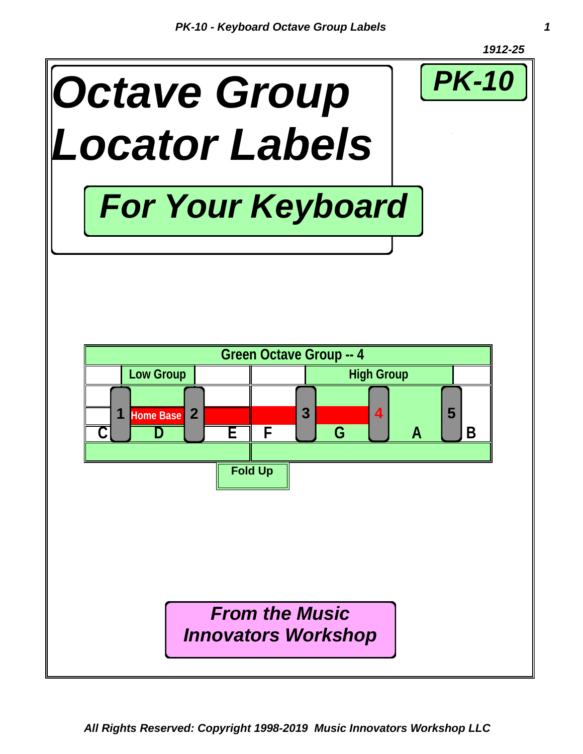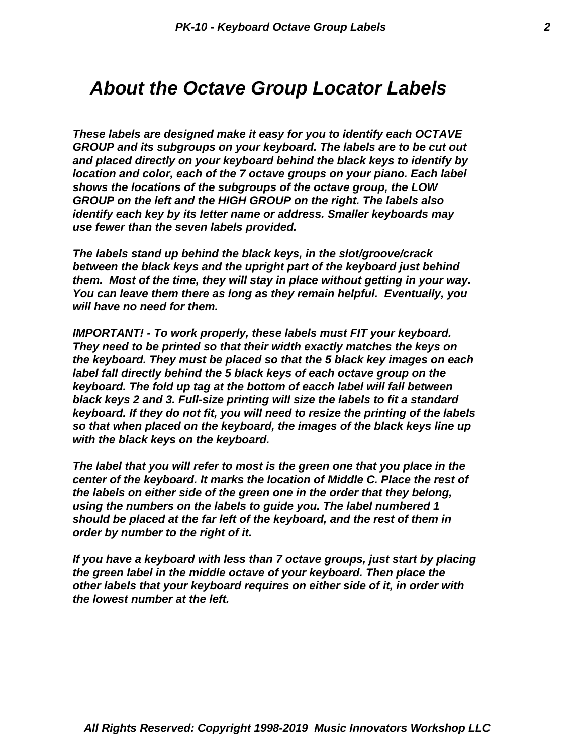#### *About the Octave Group Locator Labels*

*These labels are designed make it easy for you to identify each OCTAVE GROUP and its subgroups on your keyboard. The labels are to be cut out and placed directly on your keyboard behind the black keys to identify by location and color, each of the 7 octave groups on your piano. Each label shows the locations of the subgroups of the octave group, the LOW GROUP on the left and the HIGH GROUP on the right. The labels also identify each key by its letter name or address. Smaller keyboards may use fewer than the seven labels provided.*

*The labels stand up behind the black keys, in the slot/groove/crack between the black keys and the upright part of the keyboard just behind them. Most of the time, they will stay in place without getting in your way. You can leave them there as long as they remain helpful. Eventually, you will have no need for them.*

*IMPORTANT! - To work properly, these labels must FIT your keyboard. They need to be printed so that their width exactly matches the keys on the keyboard. They must be placed so that the 5 black key images on each label fall directly behind the 5 black keys of each octave group on the keyboard. The fold up tag at the bottom of eacch label will fall between black keys 2 and 3. Full-size printing will size the labels to fit a standard keyboard. If they do not fit, you will need to resize the printing of the labels so that when placed on the keyboard, the images of the black keys line up with the black keys on the keyboard.*

*The label that you will refer to most is the green one that you place in the center of the keyboard. It marks the location of Middle C. Place the rest of the labels on either side of the green one in the order that they belong, using the numbers on the labels to guide you. The label numbered 1 should be placed at the far left of the keyboard, and the rest of them in order by number to the right of it.*

*If you have a keyboard with less than 7 octave groups, just start by placing the green label in the middle octave of your keyboard. Then place the other labels that your keyboard requires on either side of it, in order with the lowest number at the left.*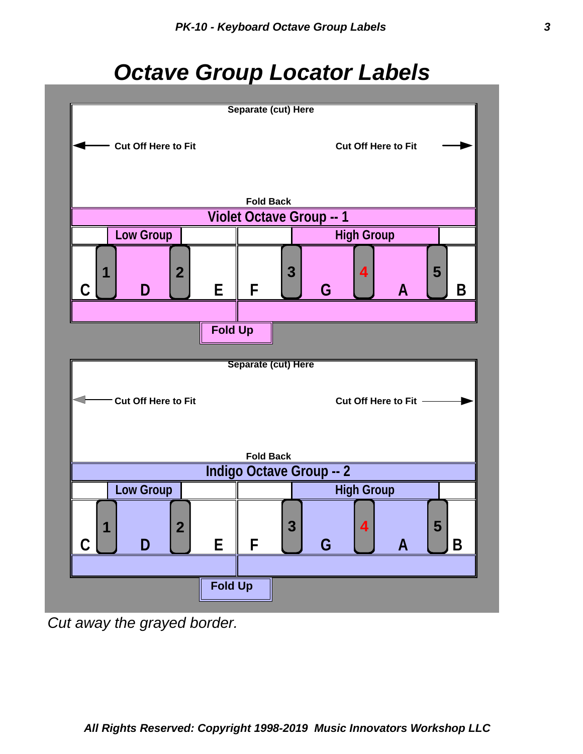# *Octave Group Locator Labels*



*Cut away the grayed border.*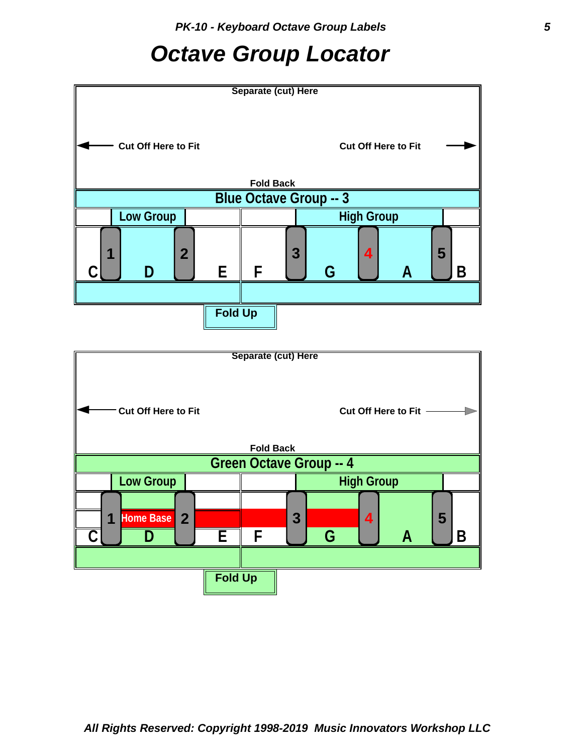## *Octave Group Locator*



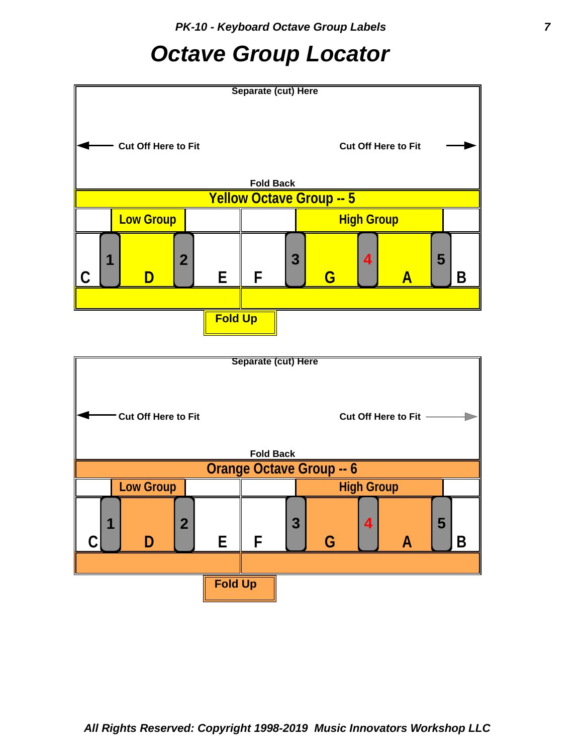## *Octave Group Locator*